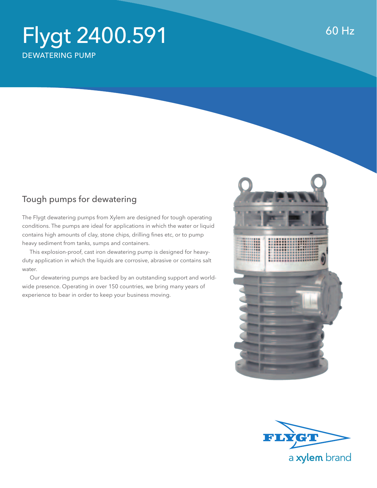## Flygt 2400.591 dewatering pump

## Tough pumps for dewatering

The Flygt dewatering pumps from Xylem are designed for tough operating conditions. The pumps are ideal for applications in which the water or liquid contains high amounts of clay, stone chips, drilling fines etc, or to pump heavy sediment from tanks, sumps and containers.

 This explosion-proof, cast iron dewatering pump is designed for heavyduty application in which the liquids are corrosive, abrasive or contains salt water.

 Our dewatering pumps are backed by an outstanding support and worldwide presence. Operating in over 150 countries, we bring many years of experience to bear in order to keep your business moving.